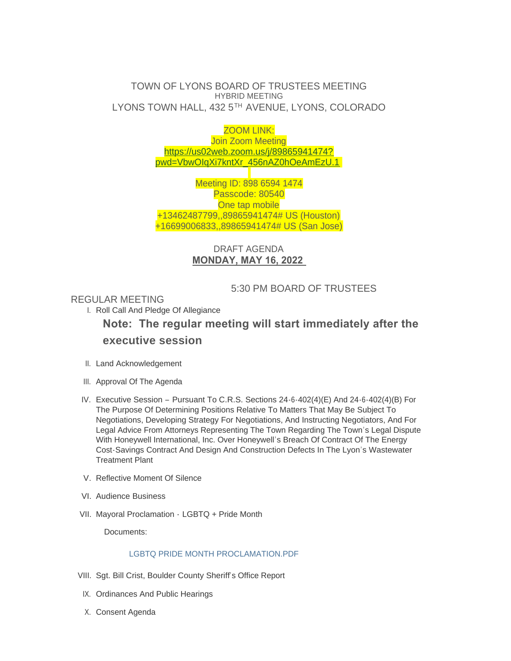# TOWN OF LYONS BOARD OF TRUSTEES MEETING HYBRID MEETING LYONS TOWN HALL, 432 5TH AVENUE, LYONS, COLORADO

ZOOM LINK: Join Zoom Meeting [https://us02web.zoom.us/j/89865941474?](https://us02web.zoom.us/j/89865941474?pwd=VbwOIqXi7kntXr_456nAZ0hOeAmEzU.1) pwd=VbwOIqXi7kntXr\_456nAZ0hOeAmEzU.1

Meeting ID: 898 6594 1474 Passcode: 80540 One tap mobile +13462487799,,89865941474# US (Houston) +16699006833,,89865941474# US (San Jose)

# DRAFT AGENDA **MONDAY, MAY 16, 2022**

# 5:30 PM BOARD OF TRUSTEES

## REGULAR MEETING

I. Roll Call And Pledge Of Allegiance

# **Note: The regular meeting will start immediately after the executive session**

- II. Land Acknowledgement
- III. Approval Of The Agenda
- Executive Session Pursuant To C.R.S. Sections 24-6-402(4)(E) And 24-6-402(4)(B) For IV. The Purpose Of Determining Positions Relative To Matters That May Be Subject To Negotiations, Developing Strategy For Negotiations, And Instructing Negotiators, And For Legal Advice From Attorneys Representing The Town Regarding The Town's Legal Dispute With Honeywell International, Inc. Over Honeywell's Breach Of Contract Of The Energy Cost-Savings Contract And Design And Construction Defects In The Lyon's Wastewater Treatment Plant
- V. Reflective Moment Of Silence
- VI. Audience Business
- VII. Mayoral Proclamation LGBTQ + Pride Month

Documents:

## [LGBTQ PRIDE MONTH PROCLAMATION.PDF](https://www.townoflyons.com/AgendaCenter/ViewFile/Item/10232?fileID=21154)

- VIII. Sgt. Bill Crist, Boulder County Sheriff's Office Report
- IX. Ordinances And Public Hearings
- X. Consent Agenda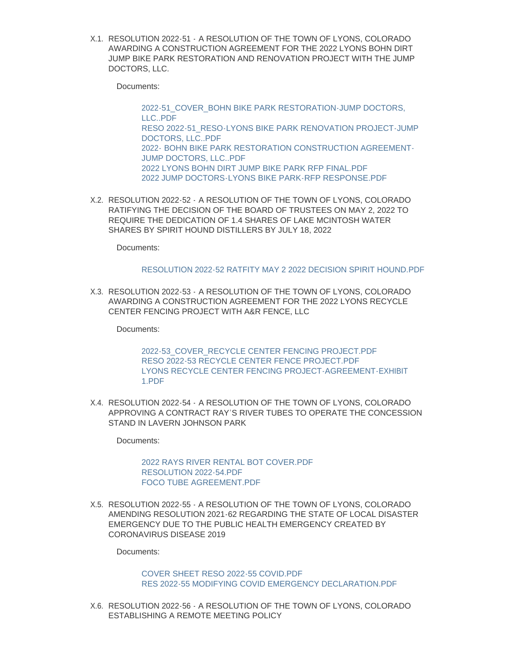RESOLUTION 2022-51 - A RESOLUTION OF THE TOWN OF LYONS, COLORADO X.1. AWARDING A CONSTRUCTION AGREEMENT FOR THE 2022 LYONS BOHN DIRT JUMP BIKE PARK RESTORATION AND RENOVATION PROJECT WITH THE JUMP DOCTORS, LLC.

Documents:

[2022-51\\_COVER\\_BOHN BIKE PARK RESTORATION-JUMP DOCTORS,](https://www.townoflyons.com/AgendaCenter/ViewFile/Item/10206?fileID=21118)  LLC..PDF [RESO 2022-51\\_RESO-LYONS BIKE PARK RENOVATION PROJECT-JUMP](https://www.townoflyons.com/AgendaCenter/ViewFile/Item/10206?fileID=21119)  DOCTORS, LLC..PDF 2022- [BOHN BIKE PARK RESTORATION CONSTRUCTION AGREEMENT-](https://www.townoflyons.com/AgendaCenter/ViewFile/Item/10206?fileID=21120)JUMP DOCTORS, LLC..PDF [2022 LYONS BOHN DIRT JUMP BIKE PARK RFP FINAL.PDF](https://www.townoflyons.com/AgendaCenter/ViewFile/Item/10206?fileID=21122) [2022 JUMP DOCTORS-LYONS BIKE PARK-RFP RESPONSE.PDF](https://www.townoflyons.com/AgendaCenter/ViewFile/Item/10206?fileID=21121)

RESOLUTION 2022-52 - A RESOLUTION OF THE TOWN OF LYONS, COLORADO X.2. RATIFYING THE DECISION OF THE BOARD OF TRUSTEES ON MAY 2, 2022 TO REQUIRE THE DEDICATION OF 1.4 SHARES OF LAKE MCINTOSH WATER SHARES BY SPIRIT HOUND DISTILLERS BY JULY 18, 2022

Documents:

#### [RESOLUTION 2022-52 RATFITY MAY 2 2022 DECISION SPIRIT HOUND.PDF](https://www.townoflyons.com/AgendaCenter/ViewFile/Item/10214?fileID=21145)

RESOLUTION 2022-53 - A RESOLUTION OF THE TOWN OF LYONS, COLORADO X.3. AWARDING A CONSTRUCTION AGREEMENT FOR THE 2022 LYONS RECYCLE CENTER FENCING PROJECT WITH A&R FENCE, LLC

Documents:

[2022-53\\_COVER\\_RECYCLE CENTER FENCING PROJECT.PDF](https://www.townoflyons.com/AgendaCenter/ViewFile/Item/10209?fileID=21117) [RESO 2022-53 RECYCLE CENTER FENCE PROJECT.PDF](https://www.townoflyons.com/AgendaCenter/ViewFile/Item/10209?fileID=21116) [LYONS RECYCLE CENTER FENCING PROJECT-AGREEMENT-EXHIBIT](https://www.townoflyons.com/AgendaCenter/ViewFile/Item/10209?fileID=21115)  1.PDF

RESOLUTION 2022-54 - A RESOLUTION OF THE TOWN OF LYONS, COLORADO X.4. APPROVING A CONTRACT RAY'S RIVER TUBES TO OPERATE THE CONCESSION STAND IN LAVERN JOHNSON PARK

Documents:

[2022 RAYS RIVER RENTAL BOT COVER.PDF](https://www.townoflyons.com/AgendaCenter/ViewFile/Item/10210?fileID=21124) [RESOLUTION 2022-54.PDF](https://www.townoflyons.com/AgendaCenter/ViewFile/Item/10210?fileID=21123) [FOCO TUBE AGREEMENT.PDF](https://www.townoflyons.com/AgendaCenter/ViewFile/Item/10210?fileID=21125)

RESOLUTION 2022-55 - A RESOLUTION OF THE TOWN OF LYONS, COLORADO X.5. AMENDING RESOLUTION 2021-62 REGARDING THE STATE OF LOCAL DISASTER EMERGENCY DUE TO THE PUBLIC HEALTH EMERGENCY CREATED BY CORONAVIRUS DISEASE 2019

Documents:

## [COVER SHEET RESO 2022-55 COVID.PDF](https://www.townoflyons.com/AgendaCenter/ViewFile/Item/10211?fileID=21126) [RES 2022-55 MODIFYING COVID EMERGENCY DECLARATION.PDF](https://www.townoflyons.com/AgendaCenter/ViewFile/Item/10211?fileID=21127)

RESOLUTION 2022-56 - A RESOLUTION OF THE TOWN OF LYONS, COLORADO X.6. ESTABLISHING A REMOTE MEETING POLICY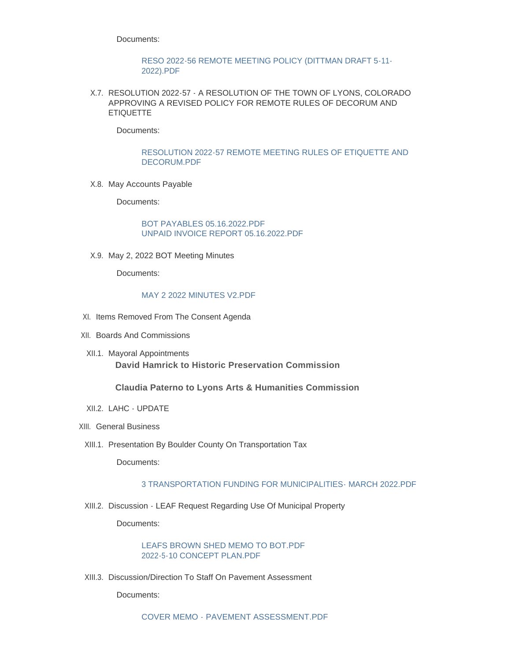Documents:

#### [RESO 2022-56 REMOTE MEETING POLICY \(DITTMAN DRAFT 5-11-](https://www.townoflyons.com/AgendaCenter/ViewFile/Item/10212?fileID=21128) 2022).PDF

RESOLUTION 2022-57 - A RESOLUTION OF THE TOWN OF LYONS, COLORADO X.7. APPROVING A REVISED POLICY FOR REMOTE RULES OF DECORUM AND ETIQUETTE

Documents:

### [RESOLUTION 2022-57 REMOTE MEETING RULES OF ETIQUETTE AND](https://www.townoflyons.com/AgendaCenter/ViewFile/Item/10213?fileID=21144)  DECORUM.PDF

X.8. May Accounts Payable

Documents:

[BOT PAYABLES 05.16.2022.PDF](https://www.townoflyons.com/AgendaCenter/ViewFile/Item/10195?fileID=21138) [UNPAID INVOICE REPORT 05.16.2022.PDF](https://www.townoflyons.com/AgendaCenter/ViewFile/Item/10195?fileID=21139)

X.9. May 2, 2022 BOT Meeting Minutes

Documents:

#### [MAY 2 2022 MINUTES V2.PDF](https://www.townoflyons.com/AgendaCenter/ViewFile/Item/10196?fileID=21140)

- XI. Items Removed From The Consent Agenda
- XII. Boards And Commissions
- XII.1. Mayoral Appointments **David Hamrick to Historic Preservation Commission**

#### **Claudia Paterno to Lyons Arts & Humanities Commission**

- XII.2. LAHC UPDATE
- XIII. General Business
	- XIII.1. Presentation By Boulder County On Transportation Tax

Documents:

## [3 TRANSPORTATION FUNDING FOR MUNICIPALITIES- MARCH 2022.PDF](https://www.townoflyons.com/AgendaCenter/ViewFile/Item/10198?fileID=21137)

XIII.2. Discussion - LEAF Request Regarding Use Of Municipal Property

Documents:

[LEAFS BROWN SHED MEMO TO BOT.PDF](https://www.townoflyons.com/AgendaCenter/ViewFile/Item/10199?fileID=21133) [2022-5-10 CONCEPT PLAN.PDF](https://www.townoflyons.com/AgendaCenter/ViewFile/Item/10199?fileID=21132)

XIII.3. Discussion/Direction To Staff On Pavement Assessment

Documents: